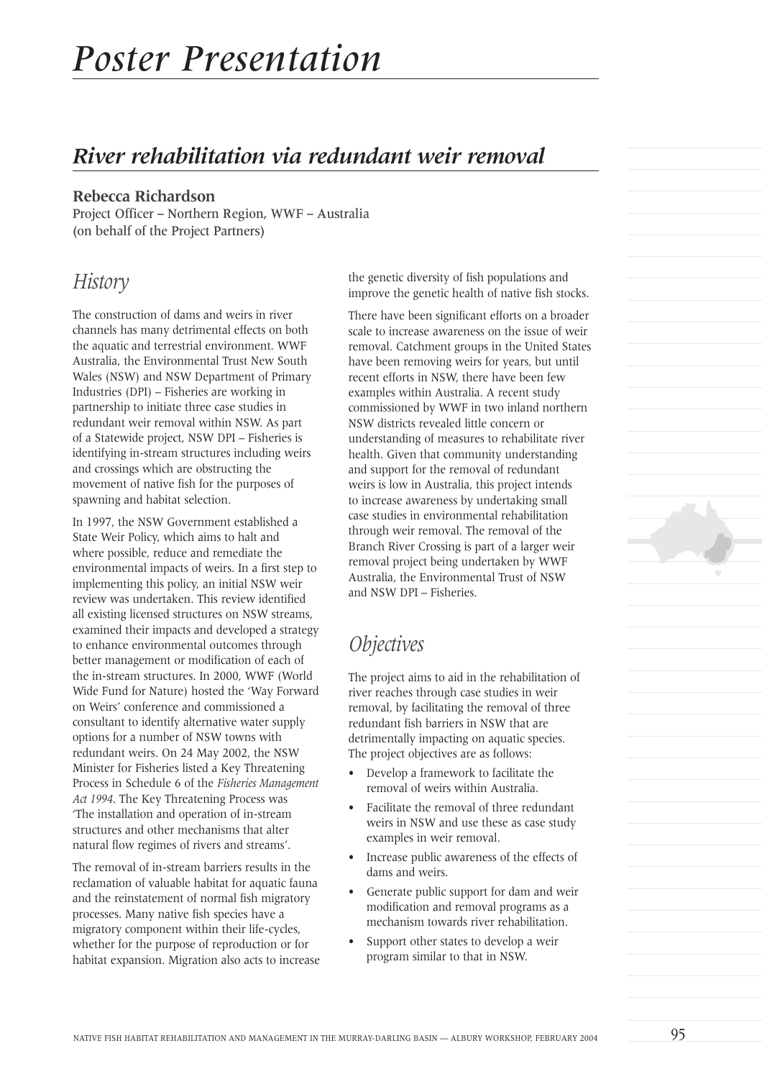# *River rehabilitation via redundant weir removal*

#### **Rebecca Richardson**

Project Officer – Northern Region, WWF – Australia (on behalf of the Project Partners)

#### *History*

The construction of dams and weirs in river channels has many detrimental effects on both the aquatic and terrestrial environment. WWF Australia, the Environmental Trust New South Wales (NSW) and NSW Department of Primary Industries (DPI) – Fisheries are working in partnership to initiate three case studies in redundant weir removal within NSW. As part of a Statewide project, NSW DPI – Fisheries is identifying in-stream structures including weirs and crossings which are obstructing the movement of native fish for the purposes of spawning and habitat selection.

In 1997, the NSW Government established a State Weir Policy, which aims to halt and where possible, reduce and remediate the environmental impacts of weirs. In a first step to implementing this policy, an initial NSW weir review was undertaken. This review identified all existing licensed structures on NSW streams, examined their impacts and developed a strategy to enhance environmental outcomes through better management or modification of each of the in-stream structures. In 2000, WWF (World Wide Fund for Nature) hosted the 'Way Forward on Weirs' conference and commissioned a consultant to identify alternative water supply options for a number of NSW towns with redundant weirs. On 24 May 2002, the NSW Minister for Fisheries listed a Key Threatening Process in Schedule 6 of the *Fisheries Management Act 1994*. The Key Threatening Process was 'The installation and operation of in-stream structures and other mechanisms that alter natural flow regimes of rivers and streams'.

The removal of in-stream barriers results in the reclamation of valuable habitat for aquatic fauna and the reinstatement of normal fish migratory processes. Many native fish species have a migratory component within their life-cycles, whether for the purpose of reproduction or for habitat expansion. Migration also acts to increase the genetic diversity of fish populations and improve the genetic health of native fish stocks.

There have been significant efforts on a broader scale to increase awareness on the issue of weir removal. Catchment groups in the United States have been removing weirs for years, but until recent efforts in NSW, there have been few examples within Australia. A recent study commissioned by WWF in two inland northern NSW districts revealed little concern or understanding of measures to rehabilitate river health. Given that community understanding and support for the removal of redundant weirs is low in Australia, this project intends to increase awareness by undertaking small case studies in environmental rehabilitation through weir removal. The removal of the Branch River Crossing is part of a larger weir removal project being undertaken by WWF Australia, the Environmental Trust of NSW and NSW DPI – Fisheries.

## *Objectives*

The project aims to aid in the rehabilitation of river reaches through case studies in weir removal, by facilitating the removal of three redundant fish barriers in NSW that are detrimentally impacting on aquatic species. The project objectives are as follows:

- Develop a framework to facilitate the removal of weirs within Australia.
- Facilitate the removal of three redundant weirs in NSW and use these as case study examples in weir removal.
- Increase public awareness of the effects of dams and weirs.
- Generate public support for dam and weir modification and removal programs as a mechanism towards river rehabilitation.
- Support other states to develop a weir program similar to that in NSW.